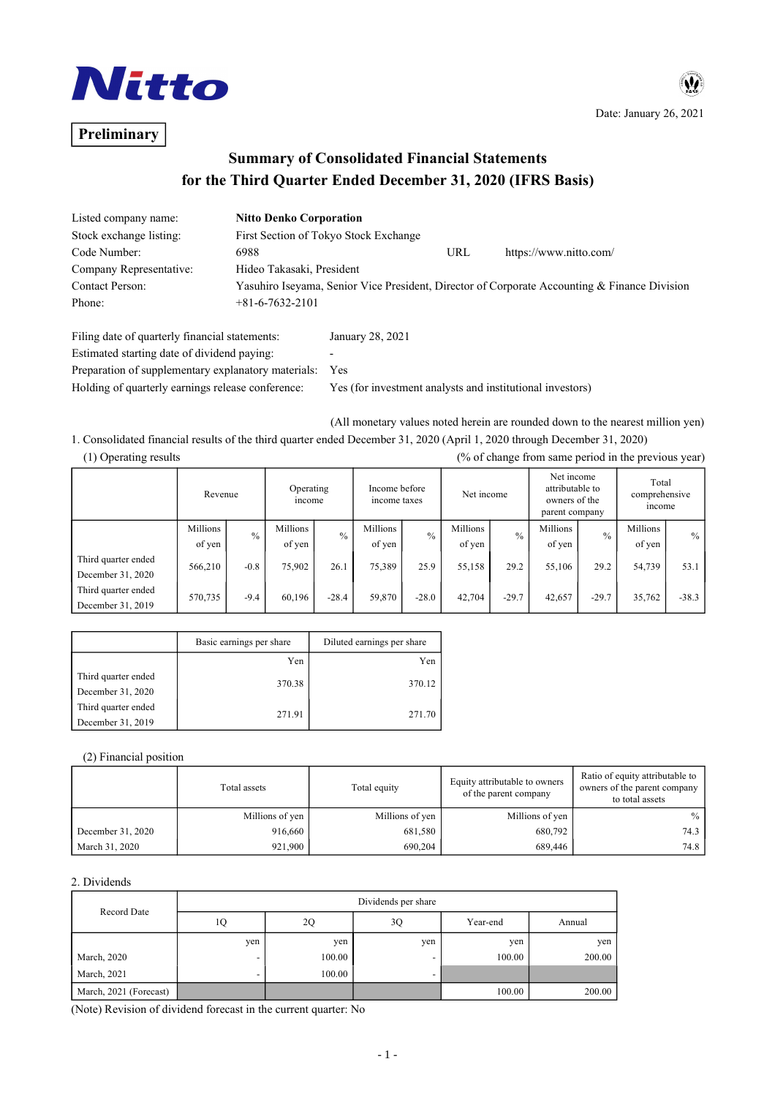

# **Preliminary**

Date: January 26, 2021

 $\boldsymbol{\Psi}$ 

## **Summary of Consolidated Financial Statements for the Third Quarter Ended December 31, 2020 (IFRS Basis)**

| Listed company name:    | <b>Nitto Denko Corporation</b>        |     |                                                                                              |
|-------------------------|---------------------------------------|-----|----------------------------------------------------------------------------------------------|
| Stock exchange listing: | First Section of Tokyo Stock Exchange |     |                                                                                              |
| Code Number:            | 6988                                  | URL | https://www.nitto.com/                                                                       |
| Company Representative: | Hideo Takasaki, President             |     |                                                                                              |
| Contact Person:         |                                       |     | Yasuhiro Iseyama, Senior Vice President, Director of Corporate Accounting & Finance Division |
| Phone:                  | $+81-6-7632-2101$                     |     |                                                                                              |
|                         |                                       |     |                                                                                              |

| Filing date of quarterly financial statements:      | January 28, 2021                                          |
|-----------------------------------------------------|-----------------------------------------------------------|
| Estimated starting date of dividend paying:         | -                                                         |
| Preparation of supplementary explanatory materials: | Yes                                                       |
| Holding of quarterly earnings release conference:   | Yes (for investment analysts and institutional investors) |

(All monetary values noted herein are rounded down to the nearest million yen)

### 1. Consolidated financial results of the third quarter ended December 31, 2020 (April 1, 2020 through December 31, 2020) (1) Operating results (% of change from same period in the previous year)

|                                          | Revenue            |               | Operating<br>income |         | Income before<br>income taxes |               | Net income         |               | Net income<br>attributable to<br>owners of the<br>parent company |               | Total<br>comprehensive<br>income |               |
|------------------------------------------|--------------------|---------------|---------------------|---------|-------------------------------|---------------|--------------------|---------------|------------------------------------------------------------------|---------------|----------------------------------|---------------|
|                                          | Millions<br>of yen | $\frac{0}{0}$ | Millions<br>of yen  | $\%$    | Millions<br>of yen            | $\frac{0}{0}$ | Millions<br>of yen | $\frac{0}{0}$ | Millions<br>of yen                                               | $\frac{0}{0}$ | Millions<br>of yen               | $\frac{0}{0}$ |
| Third quarter ended<br>December 31, 2020 | 566,210            | $-0.8$        | 75,902              | 26.1    | 75,389                        | 25.9          | 55,158             | 29.2          | 55,106                                                           | 29.2          | 54,739                           | 53.1          |
| Third quarter ended<br>December 31, 2019 | 570,735            | $-9.4$        | 60,196              | $-28.4$ | 59,870                        | $-28.0$       | 42,704             | $-29.7$       | 42,657                                                           | $-29.7$       | 35,762                           | $-38.3$       |

|                     | Basic earnings per share | Diluted earnings per share |
|---------------------|--------------------------|----------------------------|
|                     | Yen                      | Yen                        |
| Third quarter ended |                          | 370.12                     |
| December 31, 2020   | 370.38                   |                            |
| Third quarter ended |                          |                            |
| December 31, 2019   | 271.91                   | 271.70                     |

#### (2) Financial position

|                   | Total assets    | Total equity    | Equity attributable to owners<br>of the parent company | Ratio of equity attributable to<br>owners of the parent company<br>to total assets |  |
|-------------------|-----------------|-----------------|--------------------------------------------------------|------------------------------------------------------------------------------------|--|
|                   | Millions of yen | Millions of yen | Millions of yen                                        | $\%$                                                                               |  |
| December 31, 2020 | 916,660         | 681.580         | 680,792                                                | 74.3                                                                               |  |
| March 31, 2020    | 921.900         | 690.204         | 689,446                                                | 74.8                                                                               |  |

#### 2. Dividends

| Record Date            | Dividends per share |        |     |          |        |  |  |
|------------------------|---------------------|--------|-----|----------|--------|--|--|
|                        | 1Q                  | 2Q     | 3Q  | Year-end | Annual |  |  |
|                        | yen                 | yen    | yen | yen      | yen    |  |  |
| March, 2020            |                     | 100.00 |     | 100.00   | 200.00 |  |  |
| March, 2021            |                     | 100.00 |     |          |        |  |  |
| March, 2021 (Forecast) |                     |        |     | 100.00   | 200.00 |  |  |

(Note) Revision of dividend forecast in the current quarter: No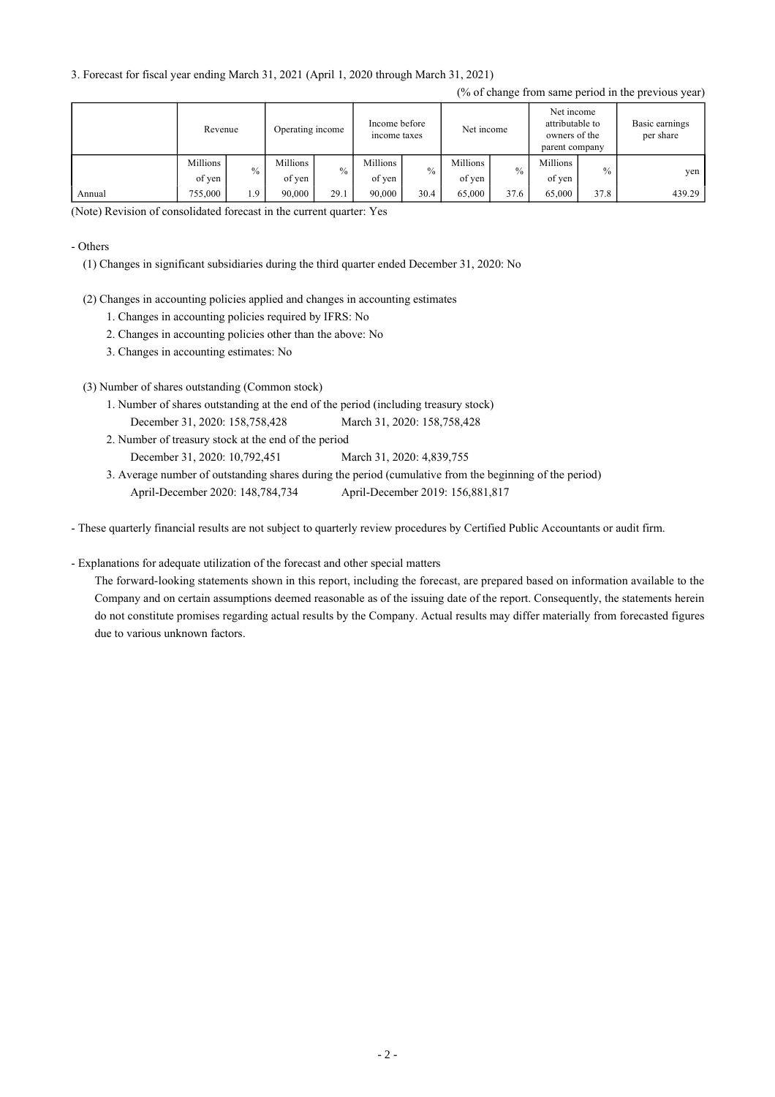3. Forecast for fiscal year ending March 31, 2021 (April 1, 2020 through March 31, 2021)

|        | Revenue            |               | Income before<br>Operating income<br>income taxes |      | Net income         |      | Net income<br>attributable to<br>owners of the<br>parent company |      | Basic earnings<br>per share |               |        |
|--------|--------------------|---------------|---------------------------------------------------|------|--------------------|------|------------------------------------------------------------------|------|-----------------------------|---------------|--------|
|        | Millions<br>of yen | $\frac{0}{0}$ | Millions<br>of yen                                | $\%$ | Millions<br>of yen | $\%$ | Millions<br>of yen                                               | $\%$ | Millions<br>of yen          | $\frac{0}{0}$ | yen    |
| Annual | 755,000            | 1.9           | 90,000                                            | 29.1 | 90.000             | 30.4 | 65,000                                                           | 37.6 | 65,000                      | 37.8          | 439.29 |

(% of change from same period in the previous year)

(Note) Revision of consolidated forecast in the current quarter: Yes

#### - Others

(1) Changes in significant subsidiaries during the third quarter ended December 31, 2020: No

- (2) Changes in accounting policies applied and changes in accounting estimates
	- 1. Changes in accounting policies required by IFRS: No
	- 2. Changes in accounting policies other than the above: No
	- 3. Changes in accounting estimates: No
- (3) Number of shares outstanding (Common stock)
	- 1. Number of shares outstanding at the end of the period (including treasury stock) December 31, 2020: 158,758,428 March 31, 2020: 158,758,428
	- 2. Number of treasury stock at the end of the period December 31, 2020: 10,792,451 March 31, 2020: 4,839,755
	- 3. Average number of outstanding shares during the period (cumulative from the beginning of the period) April-December 2020: 148,784,734 April-December 2019: 156,881,817

- These quarterly financial results are not subject to quarterly review procedures by Certified Public Accountants or audit firm.

#### - Explanations for adequate utilization of the forecast and other special matters

The forward-looking statements shown in this report, including the forecast, are prepared based on information available to the Company and on certain assumptions deemed reasonable as of the issuing date of the report. Consequently, the statements herein do not constitute promises regarding actual results by the Company. Actual results may differ materially from forecasted figures due to various unknown factors.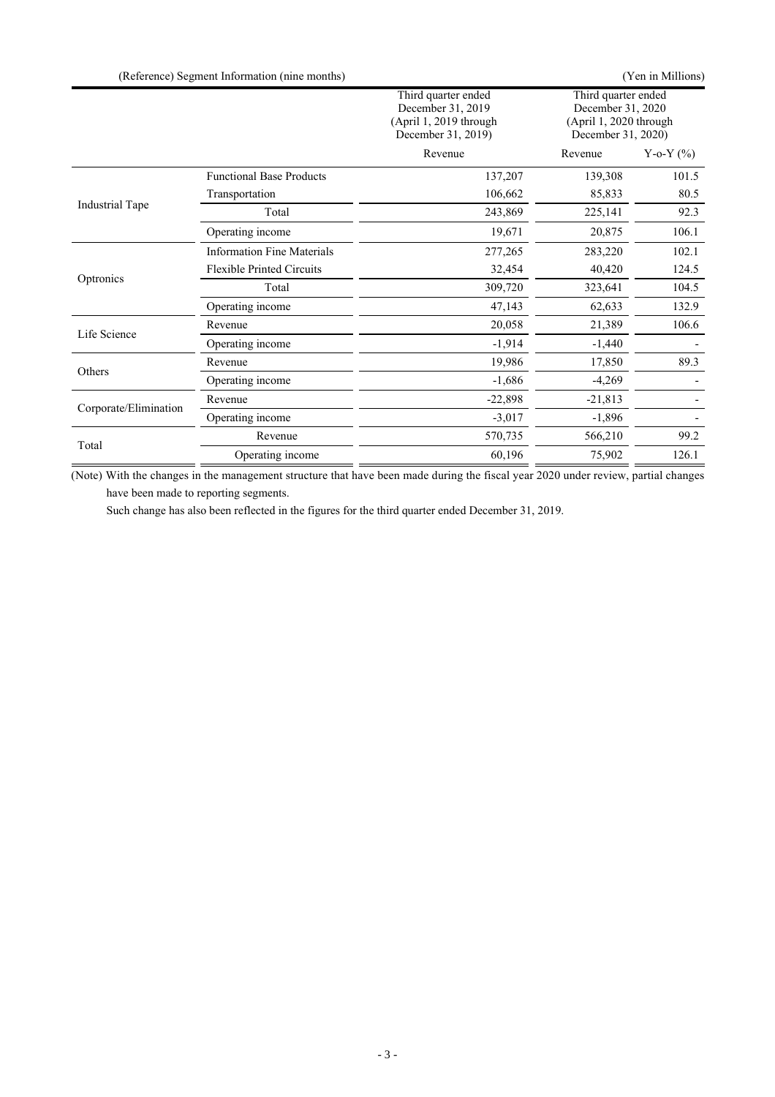|                        | (Reference) Segment Information (nine months) |                                                                                          |                                                                                          | (Yen in Millions) |
|------------------------|-----------------------------------------------|------------------------------------------------------------------------------------------|------------------------------------------------------------------------------------------|-------------------|
|                        |                                               | Third quarter ended<br>December 31, 2019<br>(April 1, 2019 through<br>December 31, 2019) | Third quarter ended<br>December 31, 2020<br>(April 1, 2020 through<br>December 31, 2020) |                   |
|                        |                                               | Revenue                                                                                  | Revenue                                                                                  | Y-o-Y $(\% )$     |
|                        | <b>Functional Base Products</b>               | 137,207                                                                                  | 139,308                                                                                  | 101.5             |
|                        | Transportation                                | 106,662                                                                                  | 85,833                                                                                   | 80.5              |
| <b>Industrial Tape</b> | Total                                         | 243,869                                                                                  | 225,141                                                                                  | 92.3              |
|                        | Operating income                              | 19,671                                                                                   | 20,875                                                                                   | 106.1             |
|                        | <b>Information Fine Materials</b>             | 277,265                                                                                  | 283,220                                                                                  | 102.1             |
|                        | <b>Flexible Printed Circuits</b>              | 32,454                                                                                   | 40,420                                                                                   | 124.5             |
| Optronics              | Total                                         | 309,720                                                                                  | 323,641                                                                                  | 104.5             |
|                        | Operating income                              | 47,143                                                                                   | 62,633                                                                                   | 132.9             |
|                        | Revenue                                       | 20,058                                                                                   | 21,389                                                                                   | 106.6             |
| Life Science           | Operating income                              | $-1,914$                                                                                 | $-1,440$                                                                                 |                   |
|                        | Revenue                                       | 19,986                                                                                   | 17,850                                                                                   | 89.3              |
| Others                 | Operating income                              | $-1,686$                                                                                 | $-4,269$                                                                                 |                   |
| Corporate/Elimination  | Revenue                                       | $-22,898$                                                                                | $-21,813$                                                                                |                   |
|                        | Operating income                              | $-3,017$                                                                                 | $-1,896$                                                                                 |                   |
|                        | Revenue                                       | 570,735                                                                                  | 566,210                                                                                  | 99.2              |
| Total                  | Operating income                              | 60,196                                                                                   | 75,902                                                                                   | 126.1             |

(Note) With the changes in the management structure that have been made during the fiscal year 2020 under review, partial changes have been made to reporting segments.

Such change has also been reflected in the figures for the third quarter ended December 31, 2019.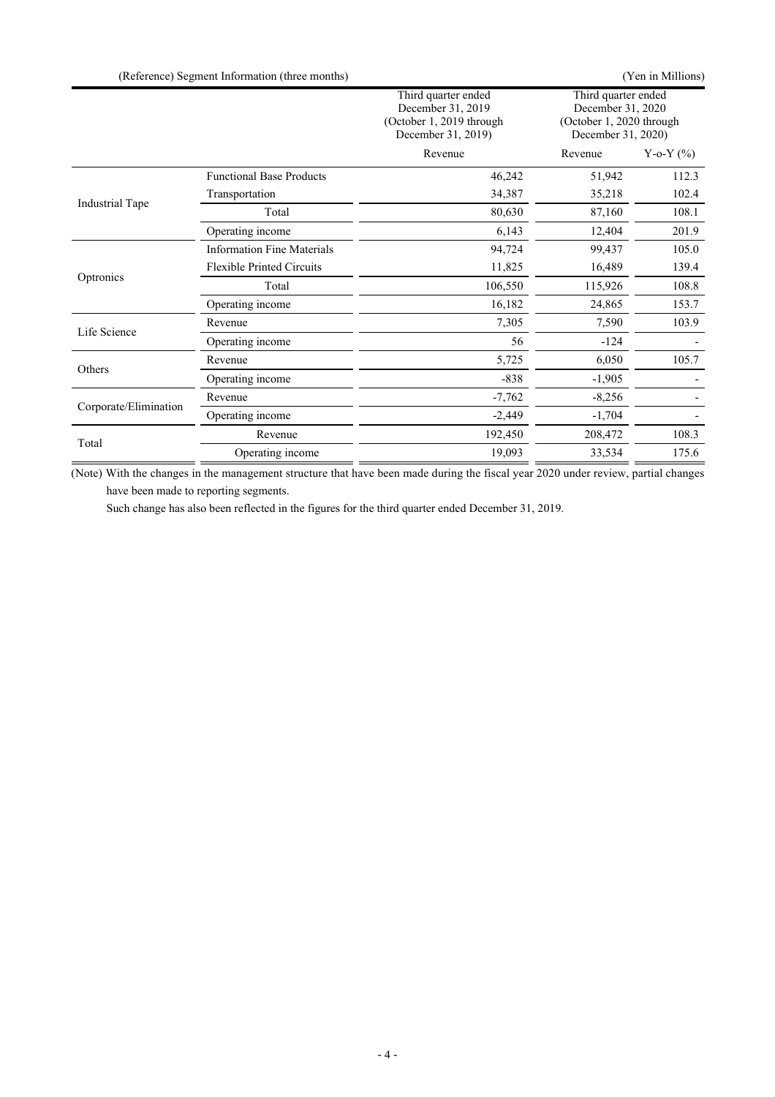|                       | (Reference) Segment Information (three months) |                                                                                            |                                                                                            | (Yen in Millions) |
|-----------------------|------------------------------------------------|--------------------------------------------------------------------------------------------|--------------------------------------------------------------------------------------------|-------------------|
|                       |                                                | Third quarter ended<br>December 31, 2019<br>(October 1, 2019 through<br>December 31, 2019) | Third quarter ended<br>December 31, 2020<br>(October 1, 2020 through<br>December 31, 2020) |                   |
|                       |                                                | Revenue                                                                                    | Revenue                                                                                    | Y-o-Y $(\% )$     |
|                       | <b>Functional Base Products</b>                | 46,242                                                                                     | 51,942                                                                                     | 112.3             |
|                       | Transportation                                 | 34,387                                                                                     | 35,218                                                                                     | 102.4             |
| Industrial Tape       | Total                                          | 80,630                                                                                     | 87,160                                                                                     | 108.1             |
|                       | Operating income                               | 6,143                                                                                      | 12,404                                                                                     | 201.9             |
|                       | <b>Information Fine Materials</b>              | 94,724                                                                                     | 99,437                                                                                     | 105.0             |
|                       | <b>Flexible Printed Circuits</b>               | 11,825                                                                                     | 16,489                                                                                     | 139.4             |
| Optronics             | Total                                          | 106,550                                                                                    | 115,926                                                                                    | 108.8             |
|                       | Operating income                               | 16,182                                                                                     | 24,865                                                                                     | 153.7             |
|                       | Revenue                                        | 7,305                                                                                      | 7,590                                                                                      | 103.9             |
| Life Science          | Operating income                               | 56                                                                                         | $-124$                                                                                     |                   |
|                       | Revenue                                        | 5,725                                                                                      | 6,050                                                                                      | 105.7             |
| Others                | Operating income                               | $-838$                                                                                     | $-1,905$                                                                                   |                   |
| Corporate/Elimination | Revenue                                        | $-7,762$                                                                                   | $-8,256$                                                                                   |                   |
|                       | Operating income                               | $-2,449$                                                                                   | $-1,704$                                                                                   |                   |
| Total                 | Revenue                                        | 192,450                                                                                    | 208,472                                                                                    | 108.3             |
|                       | Operating income                               | 19,093                                                                                     | 33,534                                                                                     | 175.6             |

(Note) With the changes in the management structure that have been made during the fiscal year 2020 under review, partial changes have been made to reporting segments.

Such change has also been reflected in the figures for the third quarter ended December 31, 2019.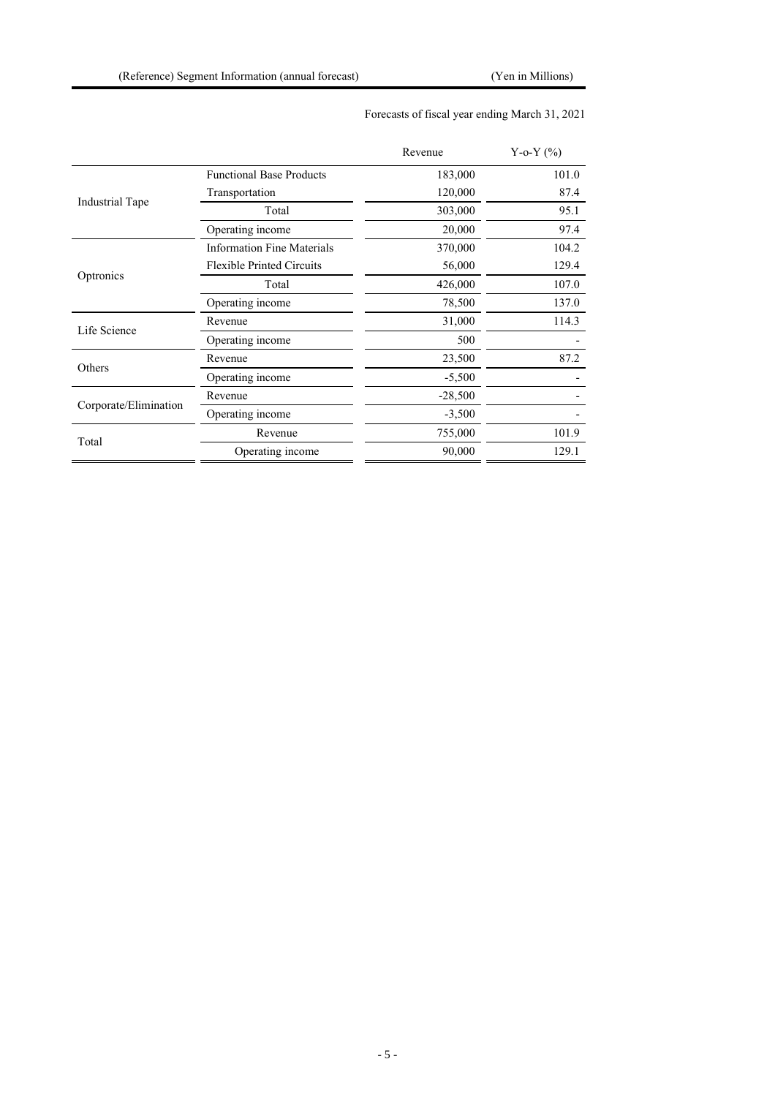|                       |                                   | Revenue   | Y-o-Y $(\% )$ |
|-----------------------|-----------------------------------|-----------|---------------|
|                       | <b>Functional Base Products</b>   | 183,000   | 101.0         |
|                       | Transportation                    | 120,000   | 87.4          |
| Industrial Tape       | Total                             | 303,000   | 95.1          |
|                       | Operating income                  | 20,000    | 97.4          |
|                       | <b>Information Fine Materials</b> | 370,000   | 104.2         |
|                       | <b>Flexible Printed Circuits</b>  | 56,000    | 129.4         |
| Optronics             | Total                             | 426,000   | 107.0         |
|                       | Operating income                  | 78,500    | 137.0         |
| Life Science          | Revenue                           | 31,000    | 114.3         |
|                       | Operating income                  | 500       |               |
|                       | Revenue                           | 23,500    | 87.2          |
| Others                | Operating income                  | $-5,500$  |               |
|                       | Revenue                           | $-28,500$ |               |
| Corporate/Elimination | Operating income                  | $-3,500$  |               |
|                       | Revenue                           | 755,000   | 101.9         |
| Total                 | Operating income                  | 90,000    | 129.1         |

## Forecasts of fiscal year ending March 31, 2021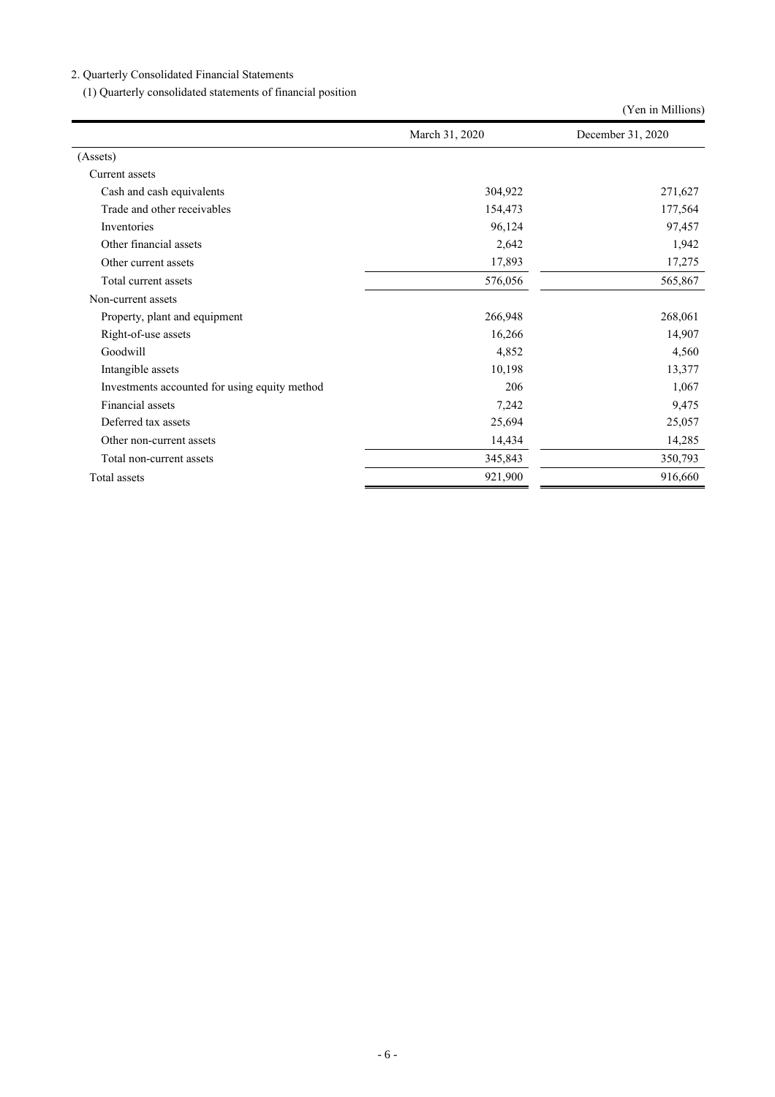2. Quarterly Consolidated Financial Statements

(1) Quarterly consolidated statements of financial position

|                                               |                | (Yen in Millions) |
|-----------------------------------------------|----------------|-------------------|
|                                               | March 31, 2020 | December 31, 2020 |
| (Assets)                                      |                |                   |
| Current assets                                |                |                   |
| Cash and cash equivalents                     | 304,922        | 271,627           |
| Trade and other receivables                   | 154,473        | 177,564           |
| Inventories                                   | 96,124         | 97,457            |
| Other financial assets                        | 2,642          | 1,942             |
| Other current assets                          | 17,893         | 17,275            |
| Total current assets                          | 576,056        | 565,867           |
| Non-current assets                            |                |                   |
| Property, plant and equipment                 | 266,948        | 268,061           |
| Right-of-use assets                           | 16,266         | 14,907            |
| Goodwill                                      | 4,852          | 4,560             |
| Intangible assets                             | 10,198         | 13,377            |
| Investments accounted for using equity method | 206            | 1,067             |
| Financial assets                              | 7,242          | 9,475             |
| Deferred tax assets                           | 25,694         | 25,057            |
| Other non-current assets                      | 14,434         | 14,285            |
| Total non-current assets                      | 345,843        | 350,793           |
| Total assets                                  | 921,900        | 916,660           |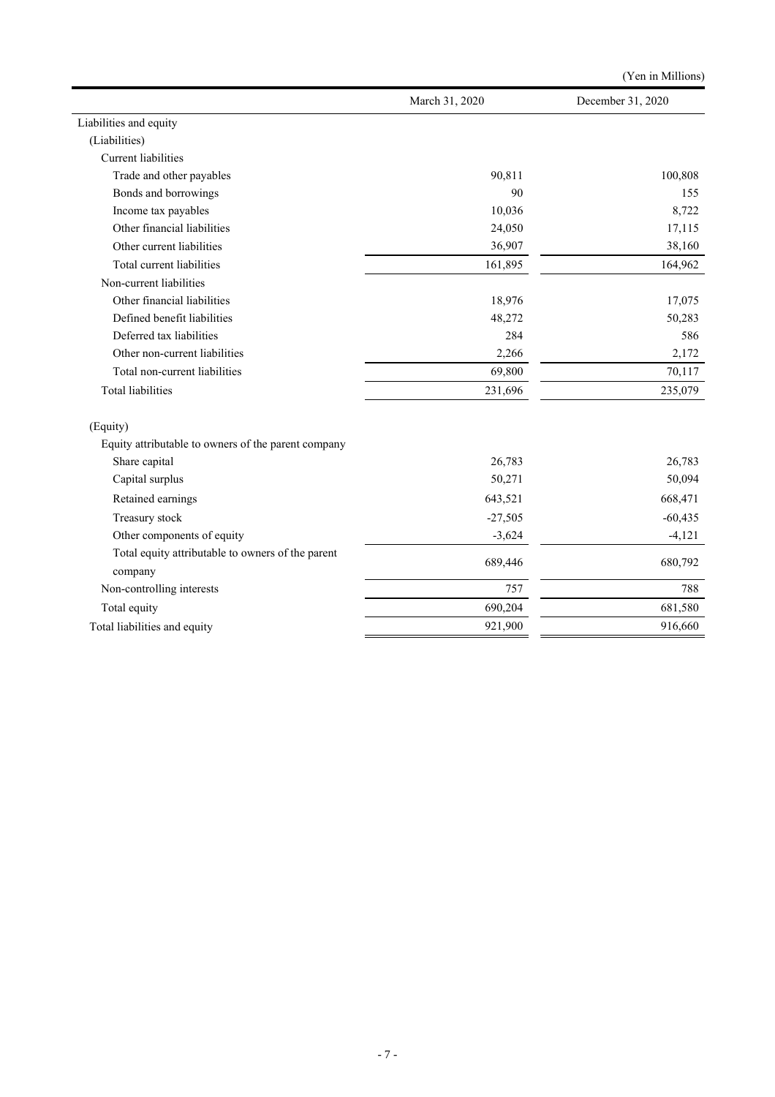|                                                              |                | (Yen in Millions) |
|--------------------------------------------------------------|----------------|-------------------|
|                                                              | March 31, 2020 | December 31, 2020 |
| Liabilities and equity                                       |                |                   |
| (Liabilities)                                                |                |                   |
| Current liabilities                                          |                |                   |
| Trade and other payables                                     | 90,811         | 100,808           |
| Bonds and borrowings                                         | 90             | 155               |
| Income tax payables                                          | 10,036         | 8,722             |
| Other financial liabilities                                  | 24,050         | 17,115            |
| Other current liabilities                                    | 36,907         | 38,160            |
| Total current liabilities                                    | 161,895        | 164,962           |
| Non-current liabilities                                      |                |                   |
| Other financial liabilities                                  | 18,976         | 17,075            |
| Defined benefit liabilities                                  | 48,272         | 50,283            |
| Deferred tax liabilities                                     | 284            | 586               |
| Other non-current liabilities                                | 2,266          | 2,172             |
| Total non-current liabilities                                | 69,800         | 70,117            |
| <b>Total liabilities</b>                                     | 231,696        | 235,079           |
| (Equity)                                                     |                |                   |
| Equity attributable to owners of the parent company          |                |                   |
| Share capital                                                | 26,783         | 26,783            |
| Capital surplus                                              | 50,271         | 50,094            |
| Retained earnings                                            | 643,521        | 668,471           |
| Treasury stock                                               | $-27,505$      | $-60,435$         |
| Other components of equity                                   | $-3,624$       | $-4,121$          |
| Total equity attributable to owners of the parent<br>company | 689,446        | 680,792           |
| Non-controlling interests                                    | 757            | 788               |
| Total equity                                                 | 690,204        | 681,580           |
| Total liabilities and equity                                 | 921,900        | 916,660           |
|                                                              |                |                   |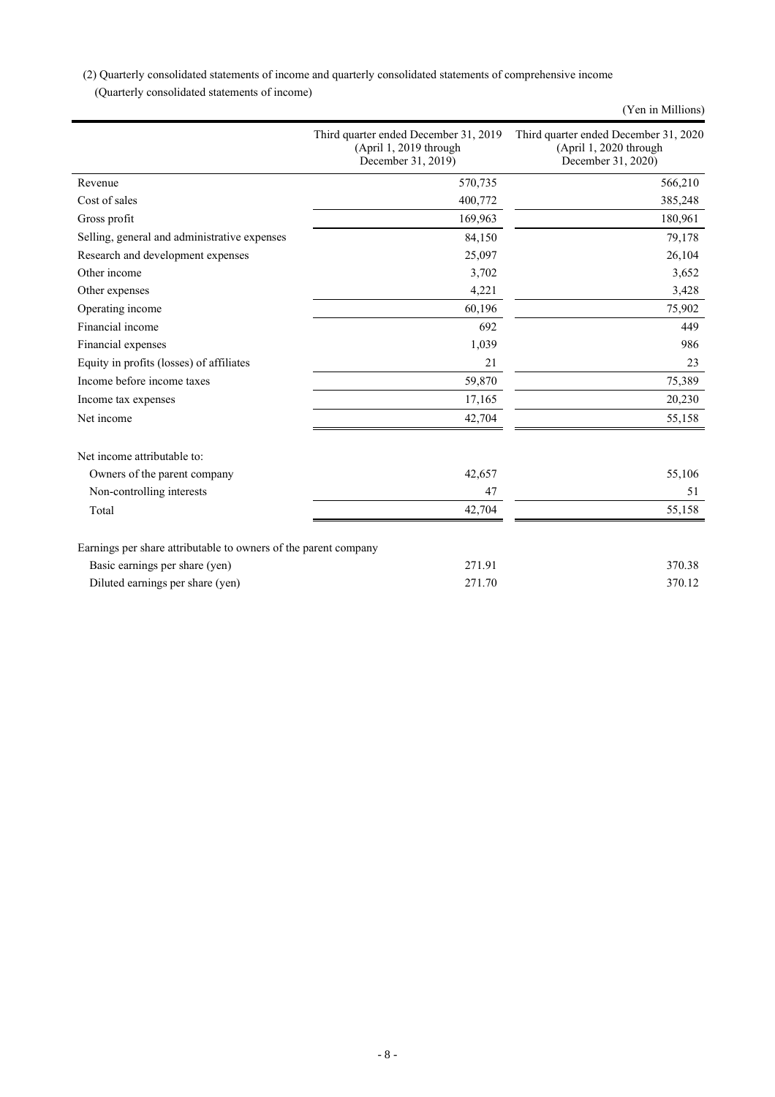(2) Quarterly consolidated statements of income and quarterly consolidated statements of comprehensive income

(Quarterly consolidated statements of income)

|                                                                 |                                                                                       | (Yen in Millions)                                                                     |
|-----------------------------------------------------------------|---------------------------------------------------------------------------------------|---------------------------------------------------------------------------------------|
|                                                                 | Third quarter ended December 31, 2019<br>(April 1, 2019 through<br>December 31, 2019) | Third quarter ended December 31, 2020<br>(April 1, 2020 through<br>December 31, 2020) |
| Revenue                                                         | 570,735                                                                               | 566,210                                                                               |
| Cost of sales                                                   | 400,772                                                                               | 385,248                                                                               |
| Gross profit                                                    | 169,963                                                                               | 180,961                                                                               |
| Selling, general and administrative expenses                    | 84,150                                                                                | 79,178                                                                                |
| Research and development expenses                               | 25,097                                                                                | 26,104                                                                                |
| Other income                                                    | 3,702                                                                                 | 3,652                                                                                 |
| Other expenses                                                  | 4,221                                                                                 | 3,428                                                                                 |
| Operating income                                                | 60,196                                                                                | 75,902                                                                                |
| Financial income                                                | 692                                                                                   | 449                                                                                   |
| Financial expenses                                              | 1,039                                                                                 | 986                                                                                   |
| Equity in profits (losses) of affiliates                        | 21                                                                                    | 23                                                                                    |
| Income before income taxes                                      | 59,870                                                                                | 75,389                                                                                |
| Income tax expenses                                             | 17,165                                                                                | 20,230                                                                                |
| Net income                                                      | 42,704                                                                                | 55,158                                                                                |
| Net income attributable to:                                     |                                                                                       |                                                                                       |
| Owners of the parent company                                    | 42,657                                                                                | 55,106                                                                                |
| Non-controlling interests                                       | 47                                                                                    | 51                                                                                    |
| Total                                                           | 42,704                                                                                | 55,158                                                                                |
| Earnings per share attributable to owners of the parent company |                                                                                       |                                                                                       |
| Basic earnings per share (yen)                                  | 271.91                                                                                | 370.38                                                                                |
| Diluted earnings per share (yen)                                | 271.70                                                                                | 370.12                                                                                |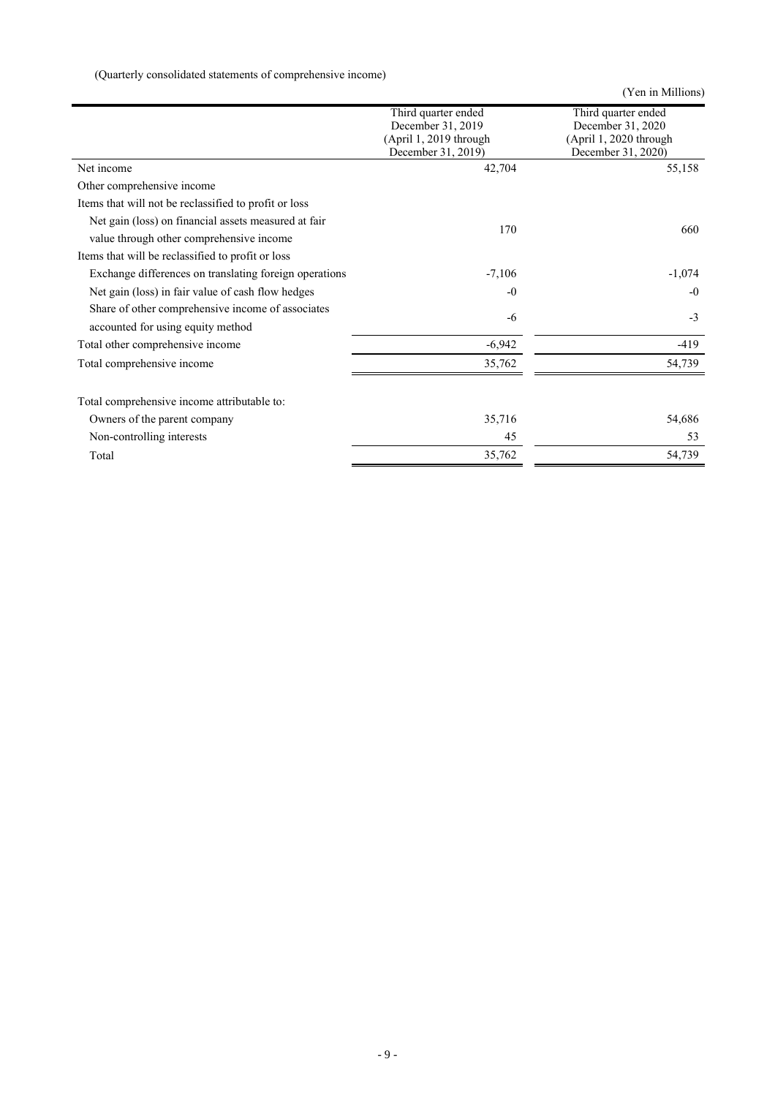(Quarterly consolidated statements of comprehensive income)

(Yen in Millions)

|                                                        | Third quarter ended    | Third quarter ended    |
|--------------------------------------------------------|------------------------|------------------------|
|                                                        | December 31, 2019      | December 31, 2020      |
|                                                        | (April 1, 2019 through | (April 1, 2020 through |
|                                                        | December 31, 2019)     | December 31, 2020)     |
| Net income                                             | 42,704                 | 55,158                 |
| Other comprehensive income                             |                        |                        |
| Items that will not be reclassified to profit or loss  |                        |                        |
| Net gain (loss) on financial assets measured at fair   | 170                    |                        |
| value through other comprehensive income               |                        | 660                    |
| Items that will be reclassified to profit or loss      |                        |                        |
| Exchange differences on translating foreign operations | $-7,106$               | $-1,074$               |
| Net gain (loss) in fair value of cash flow hedges      | $-0$                   | $-0$                   |
| Share of other comprehensive income of associates      | $-6$                   | $-3$                   |
| accounted for using equity method                      |                        |                        |
| Total other comprehensive income                       | $-6,942$               | $-419$                 |
| Total comprehensive income                             | 35,762                 | 54,739                 |
|                                                        |                        |                        |
| Total comprehensive income attributable to:            |                        |                        |
| Owners of the parent company                           | 35,716                 | 54,686                 |
| Non-controlling interests                              | 45                     | 53                     |
| Total                                                  | 35,762                 | 54,739                 |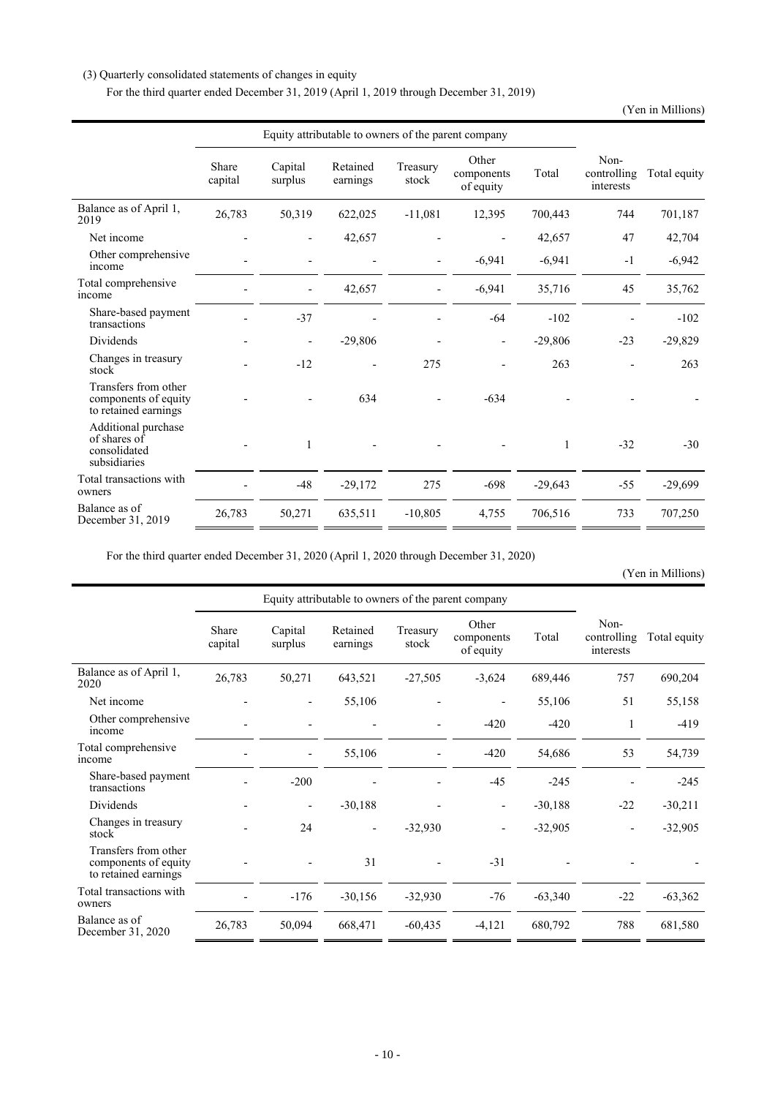## (3) Quarterly consolidated statements of changes in equity

For the third quarter ended December 31, 2019 (April 1, 2019 through December 31, 2019)

(Yen in Millions)

|                                                                      | Equity attributable to owners of the parent company |                          |                      |                          |                                  |           |                                  |              |
|----------------------------------------------------------------------|-----------------------------------------------------|--------------------------|----------------------|--------------------------|----------------------------------|-----------|----------------------------------|--------------|
|                                                                      | Share<br>capital                                    | Capital<br>surplus       | Retained<br>earnings | Treasury<br>stock        | Other<br>components<br>of equity | Total     | Non-<br>controlling<br>interests | Total equity |
| Balance as of April 1,<br>2019                                       | 26,783                                              | 50,319                   | 622,025              | $-11,081$                | 12,395                           | 700,443   | 744                              | 701,187      |
| Net income                                                           |                                                     |                          | 42,657               |                          |                                  | 42,657    | 47                               | 42,704       |
| Other comprehensive<br>income                                        |                                                     |                          |                      | $\overline{\phantom{0}}$ | $-6,941$                         | $-6,941$  | $-1$                             | $-6,942$     |
| Total comprehensive<br>income                                        |                                                     | $\overline{\phantom{a}}$ | 42,657               | $\overline{a}$           | $-6,941$                         | 35,716    | 45                               | 35,762       |
| Share-based payment<br>transactions                                  |                                                     | $-37$                    |                      |                          | $-64$                            | $-102$    |                                  | $-102$       |
| Dividends                                                            |                                                     | $\overline{\phantom{a}}$ | $-29,806$            |                          |                                  | $-29,806$ | $-23$                            | $-29,829$    |
| Changes in treasury<br>stock                                         |                                                     | $-12$                    |                      | 275                      |                                  | 263       |                                  | 263          |
| Transfers from other<br>components of equity<br>to retained earnings |                                                     |                          | 634                  |                          | $-634$                           |           |                                  |              |
| Additional purchase<br>of shares of<br>consolidated<br>subsidiaries  |                                                     | 1                        |                      |                          |                                  | 1         | $-32$                            | $-30$        |
| Total transactions with<br>owners                                    |                                                     | $-48$                    | $-29,172$            | 275                      | $-698$                           | $-29,643$ | $-55$                            | $-29,699$    |
| Balance as of<br>December 31, 2019                                   | 26,783                                              | 50,271                   | 635,511              | $-10,805$                | 4,755                            | 706,516   | 733                              | 707,250      |

For the third quarter ended December 31, 2020 (April 1, 2020 through December 31, 2020)

(Yen in Millions)

|                                                                      | Equity attributable to owners of the parent company |                          |                      |                   |                                  |           |                                  |              |
|----------------------------------------------------------------------|-----------------------------------------------------|--------------------------|----------------------|-------------------|----------------------------------|-----------|----------------------------------|--------------|
|                                                                      | Share<br>capital                                    | Capital<br>surplus       | Retained<br>earnings | Treasury<br>stock | Other<br>components<br>of equity | Total     | Non-<br>controlling<br>interests | Total equity |
| Balance as of April 1,<br>2020                                       | 26,783                                              | 50,271                   | 643,521              | $-27,505$         | $-3,624$                         | 689,446   | 757                              | 690,204      |
| Net income                                                           |                                                     |                          | 55,106               |                   |                                  | 55,106    | 51                               | 55,158       |
| Other comprehensive<br>income                                        |                                                     |                          |                      |                   | $-420$                           | $-420$    | 1                                | $-419$       |
| Total comprehensive<br>income                                        |                                                     |                          | 55,106               |                   | $-420$                           | 54,686    | 53                               | 54,739       |
| Share-based payment<br>transactions                                  |                                                     | $-200$                   |                      |                   | $-45$                            | $-245$    |                                  | $-245$       |
| Dividends                                                            |                                                     | $\overline{\phantom{0}}$ | $-30,188$            |                   |                                  | $-30,188$ | $-22$                            | $-30,211$    |
| Changes in treasury<br>stock                                         |                                                     | 24                       |                      | $-32,930$         |                                  | $-32,905$ |                                  | $-32,905$    |
| Transfers from other<br>components of equity<br>to retained earnings |                                                     |                          | 31                   |                   | $-31$                            |           |                                  |              |
| Total transactions with<br>owners                                    |                                                     | $-176$                   | $-30,156$            | $-32,930$         | $-76$                            | $-63,340$ | $-22$                            | $-63,362$    |
| Balance as of<br>December 31, 2020                                   | 26,783                                              | 50,094                   | 668,471              | $-60,435$         | $-4,121$                         | 680,792   | 788                              | 681,580      |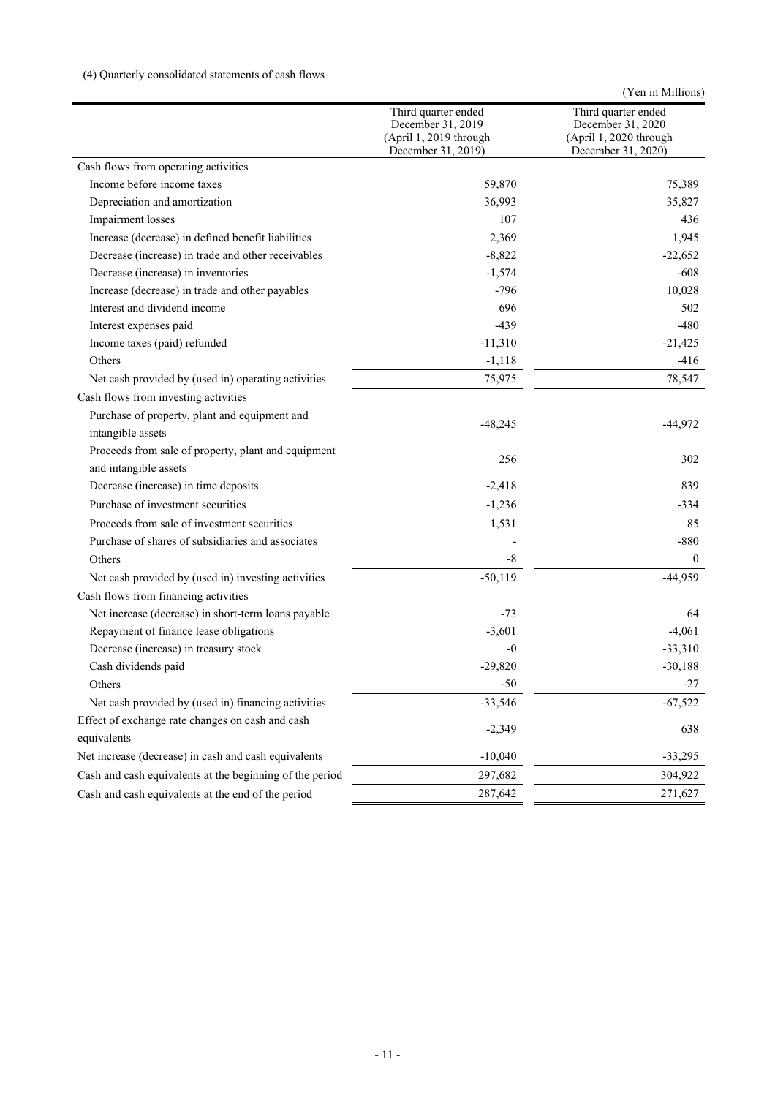## (4) Quarterly consolidated statements of cash flows

| Third quarter ended<br>Third quarter ended<br>December 31, 2019<br>December 31, 2020<br>(April 1, 2019 through<br>(April 1, 2020 through<br>December 31, 2019)<br>December 31, 2020)<br>Cash flows from operating activities<br>Income before income taxes<br>59,870<br>36,993<br>Depreciation and amortization<br>107<br>Impairment losses<br>Increase (decrease) in defined benefit liabilities<br>2,369 |                                                    |          | (Yen in Millions) |
|------------------------------------------------------------------------------------------------------------------------------------------------------------------------------------------------------------------------------------------------------------------------------------------------------------------------------------------------------------------------------------------------------------|----------------------------------------------------|----------|-------------------|
|                                                                                                                                                                                                                                                                                                                                                                                                            |                                                    |          |                   |
|                                                                                                                                                                                                                                                                                                                                                                                                            |                                                    |          |                   |
|                                                                                                                                                                                                                                                                                                                                                                                                            |                                                    |          | 75,389            |
|                                                                                                                                                                                                                                                                                                                                                                                                            |                                                    |          | 35,827            |
|                                                                                                                                                                                                                                                                                                                                                                                                            |                                                    |          | 436               |
|                                                                                                                                                                                                                                                                                                                                                                                                            |                                                    |          | 1,945             |
|                                                                                                                                                                                                                                                                                                                                                                                                            | Decrease (increase) in trade and other receivables | $-8,822$ | $-22,652$         |
| Decrease (increase) in inventories<br>$-1,574$                                                                                                                                                                                                                                                                                                                                                             |                                                    |          | $-608$            |
| $-796$<br>Increase (decrease) in trade and other payables                                                                                                                                                                                                                                                                                                                                                  |                                                    |          | 10,028            |
| Interest and dividend income<br>696                                                                                                                                                                                                                                                                                                                                                                        |                                                    |          | 502               |
| Interest expenses paid<br>$-439$                                                                                                                                                                                                                                                                                                                                                                           |                                                    |          | $-480$            |
| Income taxes (paid) refunded<br>$-11,310$                                                                                                                                                                                                                                                                                                                                                                  |                                                    |          | $-21,425$         |
| $-1,118$<br>Others                                                                                                                                                                                                                                                                                                                                                                                         |                                                    |          | $-416$            |
| Net cash provided by (used in) operating activities<br>75,975                                                                                                                                                                                                                                                                                                                                              |                                                    |          | 78,547            |
| Cash flows from investing activities                                                                                                                                                                                                                                                                                                                                                                       |                                                    |          |                   |
| Purchase of property, plant and equipment and<br>$-48,245$<br>$-44,972$<br>intangible assets                                                                                                                                                                                                                                                                                                               |                                                    |          |                   |
| Proceeds from sale of property, plant and equipment<br>256<br>and intangible assets                                                                                                                                                                                                                                                                                                                        |                                                    |          | 302               |
| Decrease (increase) in time deposits<br>$-2,418$                                                                                                                                                                                                                                                                                                                                                           |                                                    |          | 839               |
| Purchase of investment securities<br>$-1,236$                                                                                                                                                                                                                                                                                                                                                              |                                                    |          | $-334$            |
| Proceeds from sale of investment securities<br>1,531                                                                                                                                                                                                                                                                                                                                                       |                                                    |          | 85                |
| Purchase of shares of subsidiaries and associates                                                                                                                                                                                                                                                                                                                                                          |                                                    |          | $-880$            |
| Others<br>$-8$                                                                                                                                                                                                                                                                                                                                                                                             |                                                    |          | $\mathbf{0}$      |
| $-50,119$<br>Net cash provided by (used in) investing activities                                                                                                                                                                                                                                                                                                                                           |                                                    |          | $-44,959$         |
| Cash flows from financing activities                                                                                                                                                                                                                                                                                                                                                                       |                                                    |          |                   |
| Net increase (decrease) in short-term loans payable<br>-73                                                                                                                                                                                                                                                                                                                                                 |                                                    |          | 64                |
| Repayment of finance lease obligations<br>$-3,601$<br>$-4,061$                                                                                                                                                                                                                                                                                                                                             |                                                    |          |                   |
| Decrease (increase) in treasury stock<br>-0                                                                                                                                                                                                                                                                                                                                                                |                                                    |          | $-33,310$         |
| Cash dividends paid<br>$-29,820$                                                                                                                                                                                                                                                                                                                                                                           |                                                    |          | $-30,188$         |
| Others<br>$-50$                                                                                                                                                                                                                                                                                                                                                                                            |                                                    |          | $-27$             |
| Net cash provided by (used in) financing activities<br>$-33,546$                                                                                                                                                                                                                                                                                                                                           |                                                    |          | $-67,522$         |
| Effect of exchange rate changes on cash and cash                                                                                                                                                                                                                                                                                                                                                           |                                                    |          |                   |
| $-2,349$<br>equivalents                                                                                                                                                                                                                                                                                                                                                                                    |                                                    |          | 638               |
| Net increase (decrease) in cash and cash equivalents<br>$-10,040$                                                                                                                                                                                                                                                                                                                                          |                                                    |          | $-33,295$         |
| Cash and cash equivalents at the beginning of the period<br>297,682                                                                                                                                                                                                                                                                                                                                        |                                                    |          | 304,922           |
| Cash and cash equivalents at the end of the period<br>287,642                                                                                                                                                                                                                                                                                                                                              |                                                    |          | 271,627           |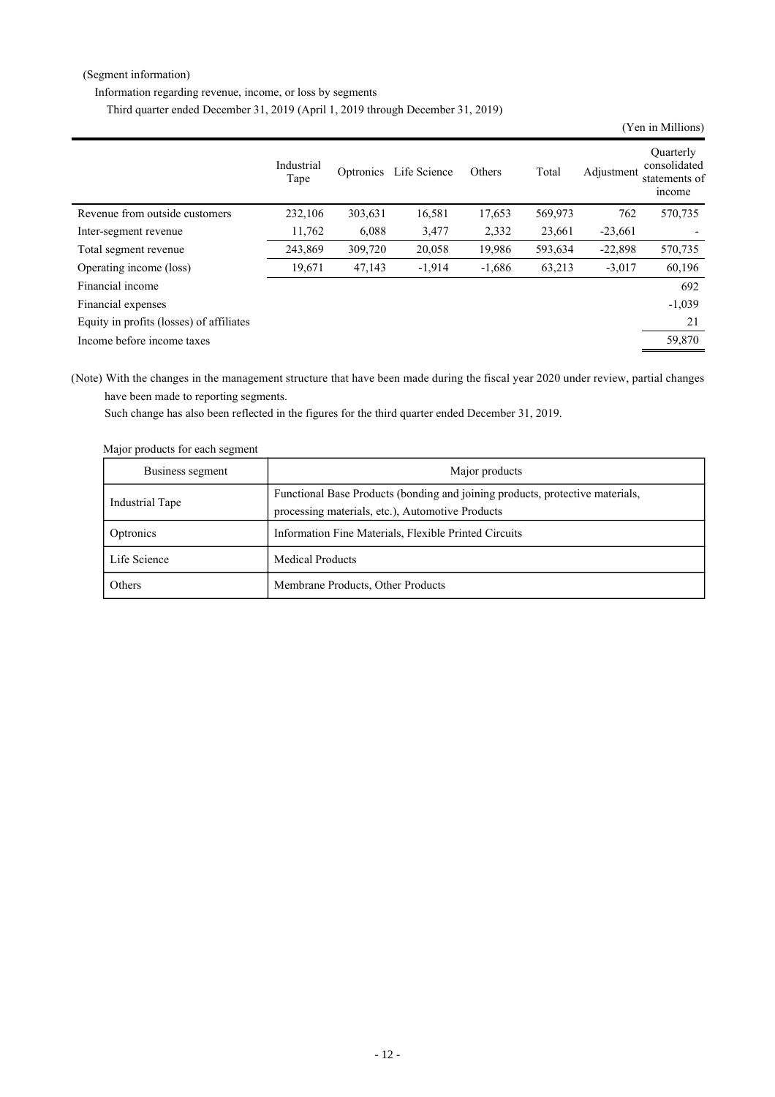#### (Segment information)

Information regarding revenue, income, or loss by segments

Third quarter ended December 31, 2019 (April 1, 2019 through December 31, 2019)

|                                          |                    |           |              |          |         |            | (Yen in Millions)                                    |
|------------------------------------------|--------------------|-----------|--------------|----------|---------|------------|------------------------------------------------------|
|                                          | Industrial<br>Tape | Optronics | Life Science | Others   | Total   | Adjustment | Ouarterly<br>consolidated<br>statements of<br>income |
| Revenue from outside customers           | 232,106            | 303,631   | 16,581       | 17,653   | 569,973 | 762        | 570,735                                              |
| Inter-segment revenue                    | 11,762             | 6,088     | 3,477        | 2,332    | 23,661  | $-23,661$  |                                                      |
| Total segment revenue                    | 243,869            | 309,720   | 20,058       | 19,986   | 593,634 | $-22,898$  | 570,735                                              |
| Operating income (loss)                  | 19,671             | 47,143    | $-1,914$     | $-1,686$ | 63,213  | $-3,017$   | 60,196                                               |
| Financial income                         |                    |           |              |          |         |            | 692                                                  |
| Financial expenses                       |                    |           |              |          |         |            | $-1,039$                                             |
| Equity in profits (losses) of affiliates |                    |           |              |          |         |            | 21                                                   |
| Income before income taxes               |                    |           |              |          |         |            | 59,870                                               |

(Note) With the changes in the management structure that have been made during the fiscal year 2020 under review, partial changes have been made to reporting segments.

Such change has also been reflected in the figures for the third quarter ended December 31, 2019.

| major products for each segment |                                                                                                                                   |
|---------------------------------|-----------------------------------------------------------------------------------------------------------------------------------|
| Business segment                | Major products                                                                                                                    |
| Industrial Tape                 | Functional Base Products (bonding and joining products, protective materials,<br>processing materials, etc.), Automotive Products |
| Optronics                       | Information Fine Materials, Flexible Printed Circuits                                                                             |
| Life Science                    | <b>Medical Products</b>                                                                                                           |
| Others                          | Membrane Products, Other Products                                                                                                 |

Major products for each segment